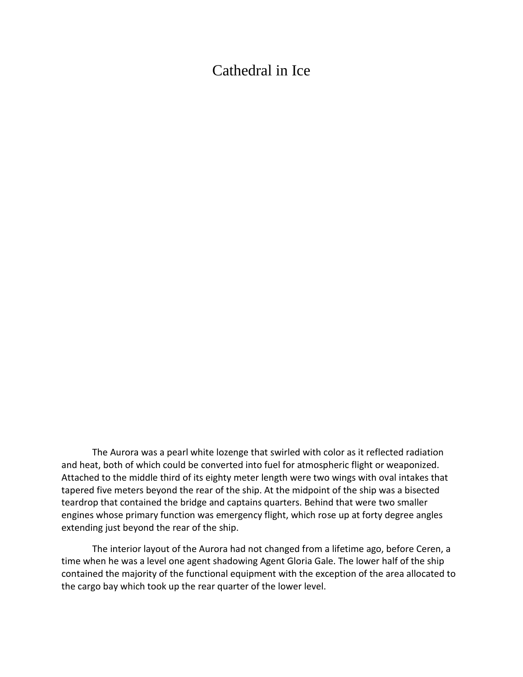## Cathedral in Ice

The Aurora was a pearl white lozenge that swirled with color as it reflected radiation and heat, both of which could be converted into fuel for atmospheric flight or weaponized. Attached to the middle third of its eighty meter length were two wings with oval intakes that tapered five meters beyond the rear of the ship. At the midpoint of the ship was a bisected teardrop that contained the bridge and captains quarters. Behind that were two smaller engines whose primary function was emergency flight, which rose up at forty degree angles extending just beyond the rear of the ship.

The interior layout of the Aurora had not changed from a lifetime ago, before Ceren, a time when he was a level one agent shadowing Agent Gloria Gale. The lower half of the ship contained the majority of the functional equipment with the exception of the area allocated to the cargo bay which took up the rear quarter of the lower level.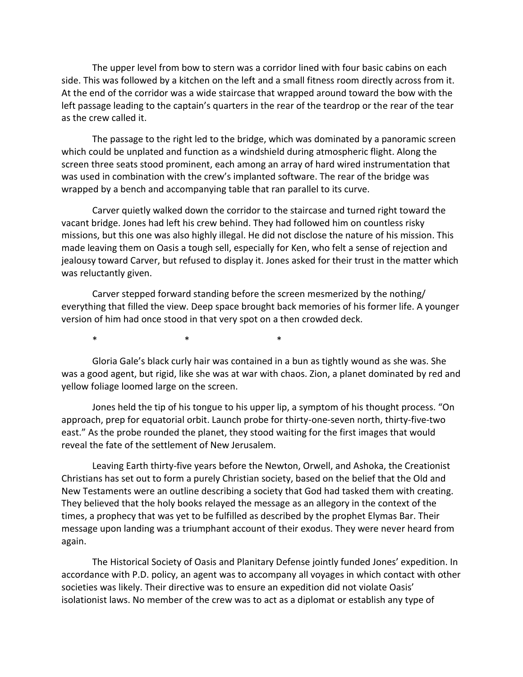The upper level from bow to stern was a corridor lined with four basic cabins on each side. This was followed by a kitchen on the left and a small fitness room directly across from it. At the end of the corridor was a wide staircase that wrapped around toward the bow with the left passage leading to the captain's quarters in the rear of the teardrop or the rear of the tear as the crew called it.

The passage to the right led to the bridge, which was dominated by a panoramic screen which could be unplated and function as a windshield during atmospheric flight. Along the screen three seats stood prominent, each among an array of hard wired instrumentation that was used in combination with the crew's implanted software. The rear of the bridge was wrapped by a bench and accompanying table that ran parallel to its curve.

Carver quietly walked down the corridor to the staircase and turned right toward the vacant bridge. Jones had left his crew behind. They had followed him on countless risky missions, but this one was also highly illegal. He did not disclose the nature of his mission. This made leaving them on Oasis a tough sell, especially for Ken, who felt a sense of rejection and jealousy toward Carver, but refused to display it. Jones asked for their trust in the matter which was reluctantly given.

Carver stepped forward standing before the screen mesmerized by the nothing/ everything that filled the view. Deep space brought back memories of his former life. A younger version of him had once stood in that very spot on a then crowded deck.

 $\ast$   $\ast$   $\ast$ 

Gloria Gale's black curly hair was contained in a bun as tightly wound as she was. She was a good agent, but rigid, like she was at war with chaos. Zion, a planet dominated by red and yellow foliage loomed large on the screen.

Jones held the tip of his tongue to his upper lip, a symptom of his thought process. "On approach, prep for equatorial orbit. Launch probe for thirty-one-seven north, thirty-five-two east." As the probe rounded the planet, they stood waiting for the first images that would reveal the fate of the settlement of New Jerusalem.

Leaving Earth thirty-five years before the Newton, Orwell, and Ashoka, the Creationist Christians has set out to form a purely Christian society, based on the belief that the Old and New Testaments were an outline describing a society that God had tasked them with creating. They believed that the holy books relayed the message as an allegory in the context of the times, a prophecy that was yet to be fulfilled as described by the prophet Elymas Bar. Their message upon landing was a triumphant account of their exodus. They were never heard from again.

The Historical Society of Oasis and Planitary Defense jointly funded Jones' expedition. In accordance with P.D. policy, an agent was to accompany all voyages in which contact with other societies was likely. Their directive was to ensure an expedition did not violate Oasis' isolationist laws. No member of the crew was to act as a diplomat or establish any type of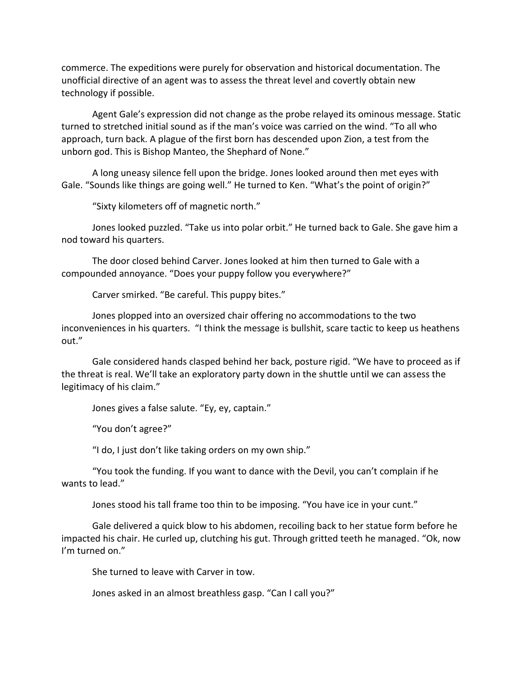commerce. The expeditions were purely for observation and historical documentation. The unofficial directive of an agent was to assess the threat level and covertly obtain new technology if possible.

Agent Gale's expression did not change as the probe relayed its ominous message. Static turned to stretched initial sound as if the man's voice was carried on the wind. "To all who approach, turn back. A plague of the first born has descended upon Zion, a test from the unborn god. This is Bishop Manteo, the Shephard of None."

A long uneasy silence fell upon the bridge. Jones looked around then met eyes with Gale. "Sounds like things are going well." He turned to Ken. "What's the point of origin?"

"Sixty kilometers off of magnetic north."

Jones looked puzzled. "Take us into polar orbit." He turned back to Gale. She gave him a nod toward his quarters.

The door closed behind Carver. Jones looked at him then turned to Gale with a compounded annoyance. "Does your puppy follow you everywhere?"

Carver smirked. "Be careful. This puppy bites."

Jones plopped into an oversized chair offering no accommodations to the two inconveniences in his quarters. "I think the message is bullshit, scare tactic to keep us heathens out."

Gale considered hands clasped behind her back, posture rigid. "We have to proceed as if the threat is real. We'll take an exploratory party down in the shuttle until we can assess the legitimacy of his claim."

Jones gives a false salute. "Ey, ey, captain."

"You don't agree?"

"I do, I just don't like taking orders on my own ship."

"You took the funding. If you want to dance with the Devil, you can't complain if he wants to lead."

Jones stood his tall frame too thin to be imposing. "You have ice in your cunt."

Gale delivered a quick blow to his abdomen, recoiling back to her statue form before he impacted his chair. He curled up, clutching his gut. Through gritted teeth he managed. "Ok, now I'm turned on."

She turned to leave with Carver in tow.

Jones asked in an almost breathless gasp. "Can I call you?"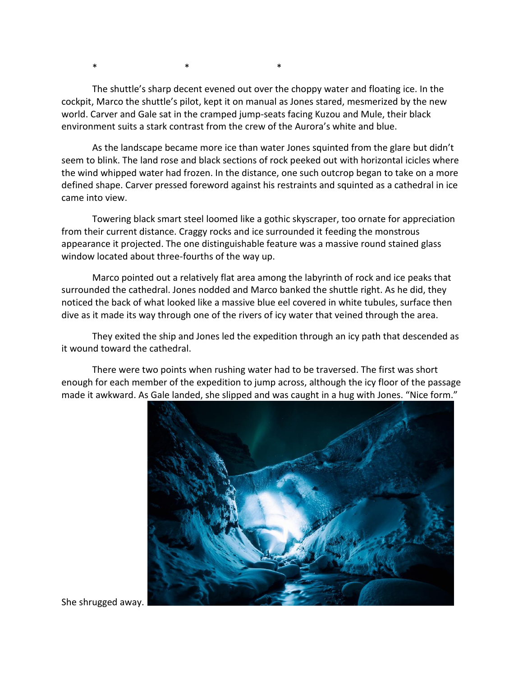$\ast$   $\ast$   $\ast$ 

The shuttle's sharp decent evened out over the choppy water and floating ice. In the cockpit, Marco the shuttle's pilot, kept it on manual as Jones stared, mesmerized by the new world. Carver and Gale sat in the cramped jump-seats facing Kuzou and Mule, their black environment suits a stark contrast from the crew of the Aurora's white and blue.

As the landscape became more ice than water Jones squinted from the glare but didn't seem to blink. The land rose and black sections of rock peeked out with horizontal icicles where the wind whipped water had frozen. In the distance, one such outcrop began to take on a more defined shape. Carver pressed foreword against his restraints and squinted as a cathedral in ice came into view.

Towering black smart steel loomed like a gothic skyscraper, too ornate for appreciation from their current distance. Craggy rocks and ice surrounded it feeding the monstrous appearance it projected. The one distinguishable feature was a massive round stained glass window located about three-fourths of the way up.

Marco pointed out a relatively flat area among the labyrinth of rock and ice peaks that surrounded the cathedral. Jones nodded and Marco banked the shuttle right. As he did, they noticed the back of what looked like a massive blue eel covered in white tubules, surface then dive as it made its way through one of the rivers of icy water that veined through the area.

They exited the ship and Jones led the expedition through an icy path that descended as it wound toward the cathedral.

There were two points when rushing water had to be traversed. The first was short enough for each member of the expedition to jump across, although the icy floor of the passage made it awkward. As Gale landed, she slipped and was caught in a hug with Jones. "Nice form."



She shrugged away.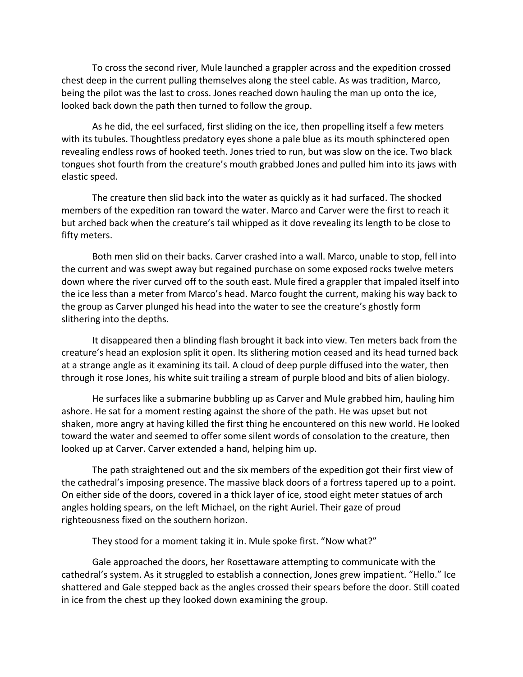To cross the second river, Mule launched a grappler across and the expedition crossed chest deep in the current pulling themselves along the steel cable. As was tradition, Marco, being the pilot was the last to cross. Jones reached down hauling the man up onto the ice, looked back down the path then turned to follow the group.

As he did, the eel surfaced, first sliding on the ice, then propelling itself a few meters with its tubules. Thoughtless predatory eyes shone a pale blue as its mouth sphinctered open revealing endless rows of hooked teeth. Jones tried to run, but was slow on the ice. Two black tongues shot fourth from the creature's mouth grabbed Jones and pulled him into its jaws with elastic speed.

The creature then slid back into the water as quickly as it had surfaced. The shocked members of the expedition ran toward the water. Marco and Carver were the first to reach it but arched back when the creature's tail whipped as it dove revealing its length to be close to fifty meters.

Both men slid on their backs. Carver crashed into a wall. Marco, unable to stop, fell into the current and was swept away but regained purchase on some exposed rocks twelve meters down where the river curved off to the south east. Mule fired a grappler that impaled itself into the ice less than a meter from Marco's head. Marco fought the current, making his way back to the group as Carver plunged his head into the water to see the creature's ghostly form slithering into the depths.

It disappeared then a blinding flash brought it back into view. Ten meters back from the creature's head an explosion split it open. Its slithering motion ceased and its head turned back at a strange angle as it examining its tail. A cloud of deep purple diffused into the water, then through it rose Jones, his white suit trailing a stream of purple blood and bits of alien biology.

He surfaces like a submarine bubbling up as Carver and Mule grabbed him, hauling him ashore. He sat for a moment resting against the shore of the path. He was upset but not shaken, more angry at having killed the first thing he encountered on this new world. He looked toward the water and seemed to offer some silent words of consolation to the creature, then looked up at Carver. Carver extended a hand, helping him up.

The path straightened out and the six members of the expedition got their first view of the cathedral's imposing presence. The massive black doors of a fortress tapered up to a point. On either side of the doors, covered in a thick layer of ice, stood eight meter statues of arch angles holding spears, on the left Michael, on the right Auriel. Their gaze of proud righteousness fixed on the southern horizon.

They stood for a moment taking it in. Mule spoke first. "Now what?"

Gale approached the doors, her Rosettaware attempting to communicate with the cathedral's system. As it struggled to establish a connection, Jones grew impatient. "Hello." Ice shattered and Gale stepped back as the angles crossed their spears before the door. Still coated in ice from the chest up they looked down examining the group.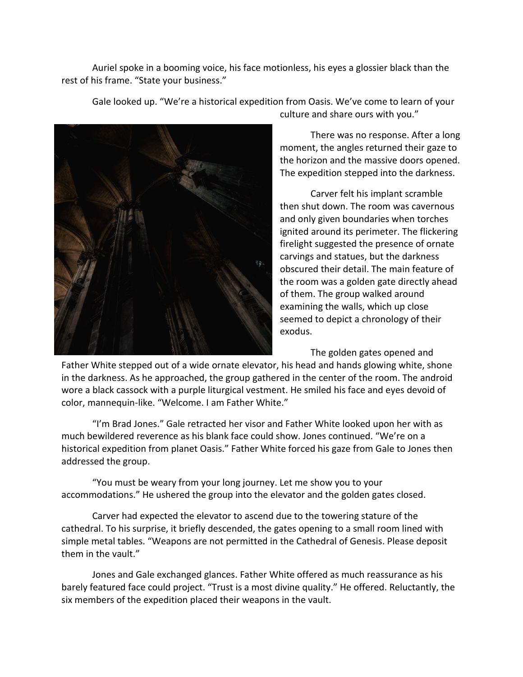Auriel spoke in a booming voice, his face motionless, his eyes a glossier black than the rest of his frame. "State your business."



Gale looked up. "We're a historical expedition from Oasis. We've come to learn of your culture and share ours with you."

> There was no response. After a long moment, the angles returned their gaze to the horizon and the massive doors opened. The expedition stepped into the darkness.

Carver felt his implant scramble then shut down. The room was cavernous and only given boundaries when torches ignited around its perimeter. The flickering firelight suggested the presence of ornate carvings and statues, but the darkness obscured their detail. The main feature of the room was a golden gate directly ahead of them. The group walked around examining the walls, which up close seemed to depict a chronology of their exodus.

The golden gates opened and

Father White stepped out of a wide ornate elevator, his head and hands glowing white, shone in the darkness. As he approached, the group gathered in the center of the room. The android wore a black cassock with a purple liturgical vestment. He smiled his face and eyes devoid of color, mannequin-like. "Welcome. I am Father White."

"I'm Brad Jones." Gale retracted her visor and Father White looked upon her with as much bewildered reverence as his blank face could show. Jones continued. "We're on a historical expedition from planet Oasis." Father White forced his gaze from Gale to Jones then addressed the group.

"You must be weary from your long journey. Let me show you to your accommodations." He ushered the group into the elevator and the golden gates closed.

Carver had expected the elevator to ascend due to the towering stature of the cathedral. To his surprise, it briefly descended, the gates opening to a small room lined with simple metal tables. "Weapons are not permitted in the Cathedral of Genesis. Please deposit them in the vault."

Jones and Gale exchanged glances. Father White offered as much reassurance as his barely featured face could project. "Trust is a most divine quality." He offered. Reluctantly, the six members of the expedition placed their weapons in the vault.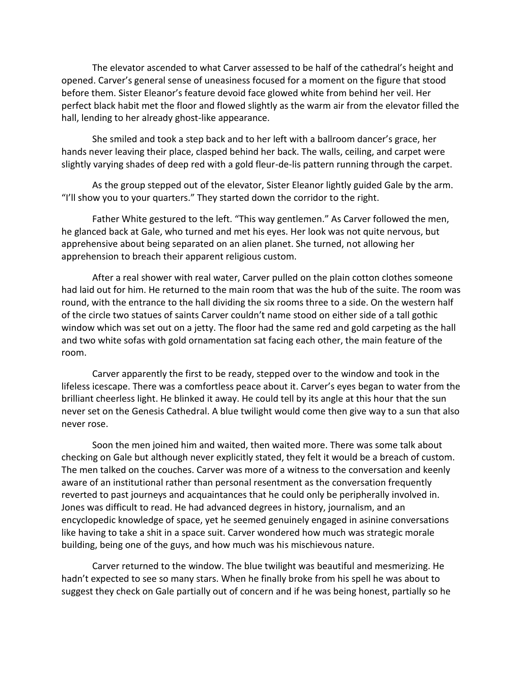The elevator ascended to what Carver assessed to be half of the cathedral's height and opened. Carver's general sense of uneasiness focused for a moment on the figure that stood before them. Sister Eleanor's feature devoid face glowed white from behind her veil. Her perfect black habit met the floor and flowed slightly as the warm air from the elevator filled the hall, lending to her already ghost-like appearance.

She smiled and took a step back and to her left with a ballroom dancer's grace, her hands never leaving their place, clasped behind her back. The walls, ceiling, and carpet were slightly varying shades of deep red with a gold fleur-de-lis pattern running through the carpet.

As the group stepped out of the elevator, Sister Eleanor lightly guided Gale by the arm. "I'll show you to your quarters." They started down the corridor to the right.

Father White gestured to the left. "This way gentlemen." As Carver followed the men, he glanced back at Gale, who turned and met his eyes. Her look was not quite nervous, but apprehensive about being separated on an alien planet. She turned, not allowing her apprehension to breach their apparent religious custom.

After a real shower with real water, Carver pulled on the plain cotton clothes someone had laid out for him. He returned to the main room that was the hub of the suite. The room was round, with the entrance to the hall dividing the six rooms three to a side. On the western half of the circle two statues of saints Carver couldn't name stood on either side of a tall gothic window which was set out on a jetty. The floor had the same red and gold carpeting as the hall and two white sofas with gold ornamentation sat facing each other, the main feature of the room.

Carver apparently the first to be ready, stepped over to the window and took in the lifeless icescape. There was a comfortless peace about it. Carver's eyes began to water from the brilliant cheerless light. He blinked it away. He could tell by its angle at this hour that the sun never set on the Genesis Cathedral. A blue twilight would come then give way to a sun that also never rose.

Soon the men joined him and waited, then waited more. There was some talk about checking on Gale but although never explicitly stated, they felt it would be a breach of custom. The men talked on the couches. Carver was more of a witness to the conversation and keenly aware of an institutional rather than personal resentment as the conversation frequently reverted to past journeys and acquaintances that he could only be peripherally involved in. Jones was difficult to read. He had advanced degrees in history, journalism, and an encyclopedic knowledge of space, yet he seemed genuinely engaged in asinine conversations like having to take a shit in a space suit. Carver wondered how much was strategic morale building, being one of the guys, and how much was his mischievous nature.

Carver returned to the window. The blue twilight was beautiful and mesmerizing. He hadn't expected to see so many stars. When he finally broke from his spell he was about to suggest they check on Gale partially out of concern and if he was being honest, partially so he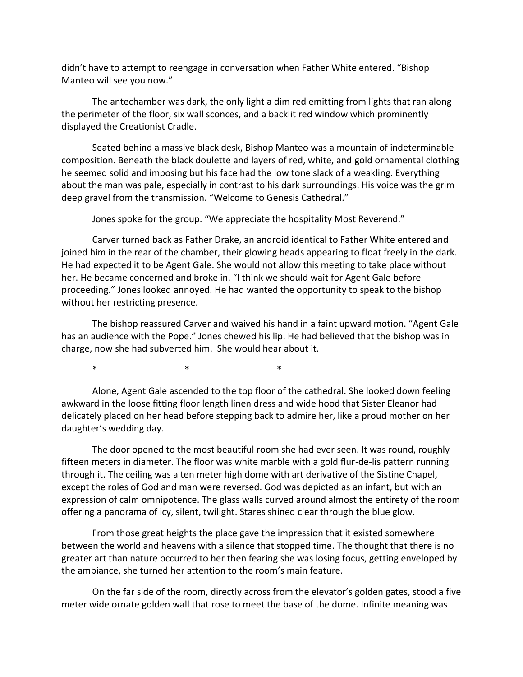didn't have to attempt to reengage in conversation when Father White entered. "Bishop Manteo will see you now."

The antechamber was dark, the only light a dim red emitting from lights that ran along the perimeter of the floor, six wall sconces, and a backlit red window which prominently displayed the Creationist Cradle.

Seated behind a massive black desk, Bishop Manteo was a mountain of indeterminable composition. Beneath the black doulette and layers of red, white, and gold ornamental clothing he seemed solid and imposing but his face had the low tone slack of a weakling. Everything about the man was pale, especially in contrast to his dark surroundings. His voice was the grim deep gravel from the transmission. "Welcome to Genesis Cathedral."

Jones spoke for the group. "We appreciate the hospitality Most Reverend."

Carver turned back as Father Drake, an android identical to Father White entered and joined him in the rear of the chamber, their glowing heads appearing to float freely in the dark. He had expected it to be Agent Gale. She would not allow this meeting to take place without her. He became concerned and broke in. "I think we should wait for Agent Gale before proceeding." Jones looked annoyed. He had wanted the opportunity to speak to the bishop without her restricting presence.

The bishop reassured Carver and waived his hand in a faint upward motion. "Agent Gale has an audience with the Pope." Jones chewed his lip. He had believed that the bishop was in charge, now she had subverted him. She would hear about it.

\* \* \* \* \* \* \*

Alone, Agent Gale ascended to the top floor of the cathedral. She looked down feeling awkward in the loose fitting floor length linen dress and wide hood that Sister Eleanor had delicately placed on her head before stepping back to admire her, like a proud mother on her daughter's wedding day.

The door opened to the most beautiful room she had ever seen. It was round, roughly fifteen meters in diameter. The floor was white marble with a gold flur-de-lis pattern running through it. The ceiling was a ten meter high dome with art derivative of the Sistine Chapel, except the roles of God and man were reversed. God was depicted as an infant, but with an expression of calm omnipotence. The glass walls curved around almost the entirety of the room offering a panorama of icy, silent, twilight. Stares shined clear through the blue glow.

From those great heights the place gave the impression that it existed somewhere between the world and heavens with a silence that stopped time. The thought that there is no greater art than nature occurred to her then fearing she was losing focus, getting enveloped by the ambiance, she turned her attention to the room's main feature.

On the far side of the room, directly across from the elevator's golden gates, stood a five meter wide ornate golden wall that rose to meet the base of the dome. Infinite meaning was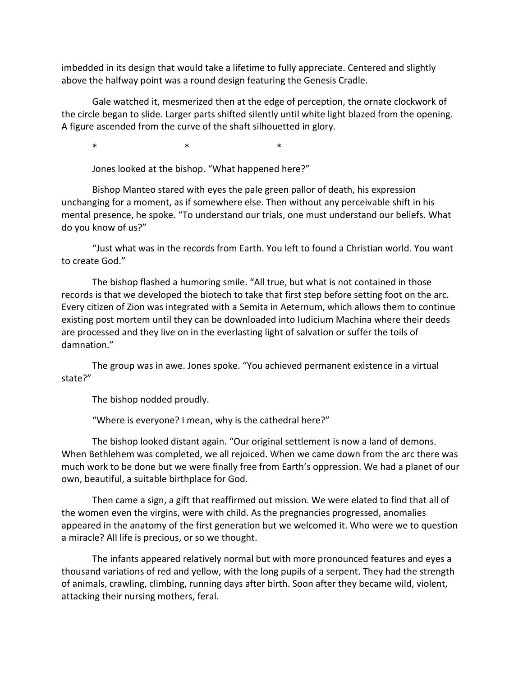imbedded in its design that would take a lifetime to fully appreciate. Centered and slightly above the halfway point was a round design featuring the Genesis Cradle.

Gale watched it, mesmerized then at the edge of perception, the ornate clockwork of the circle began to slide. Larger parts shifted silently until white light blazed from the opening. A figure ascended from the curve of the shaft silhouetted in glory.

 $\ast$   $\ast$   $\ast$ 

Jones looked at the bishop. "What happened here?"

Bishop Manteo stared with eyes the pale green pallor of death, his expression unchanging for a moment, as if somewhere else. Then without any perceivable shift in his mental presence, he spoke. "To understand our trials, one must understand our beliefs. What do you know of us?"

"Just what was in the records from Earth. You left to found a Christian world. You want to create God."

The bishop flashed a humoring smile. "All true, but what is not contained in those records is that we developed the biotech to take that first step before setting foot on the arc. Every citizen of Zion was integrated with a Semita in Aeternum, which allows them to continue existing post mortem until they can be downloaded into Iudicium Machina where their deeds are processed and they live on in the everlasting light of salvation or suffer the toils of damnation."

The group was in awe. Jones spoke. "You achieved permanent existence in a virtual state?"

The bishop nodded proudly.

"Where is everyone? I mean, why is the cathedral here?"

The bishop looked distant again. "Our original settlement is now a land of demons. When Bethlehem was completed, we all rejoiced. When we came down from the arc there was much work to be done but we were finally free from Earth's oppression. We had a planet of our own, beautiful, a suitable birthplace for God.

Then came a sign, a gift that reaffirmed out mission. We were elated to find that all of the women even the virgins, were with child. As the pregnancies progressed, anomalies appeared in the anatomy of the first generation but we welcomed it. Who were we to question a miracle? All life is precious, or so we thought.

The infants appeared relatively normal but with more pronounced features and eyes a thousand variations of red and yellow, with the long pupils of a serpent. They had the strength of animals, crawling, climbing, running days after birth. Soon after they became wild, violent, attacking their nursing mothers, feral.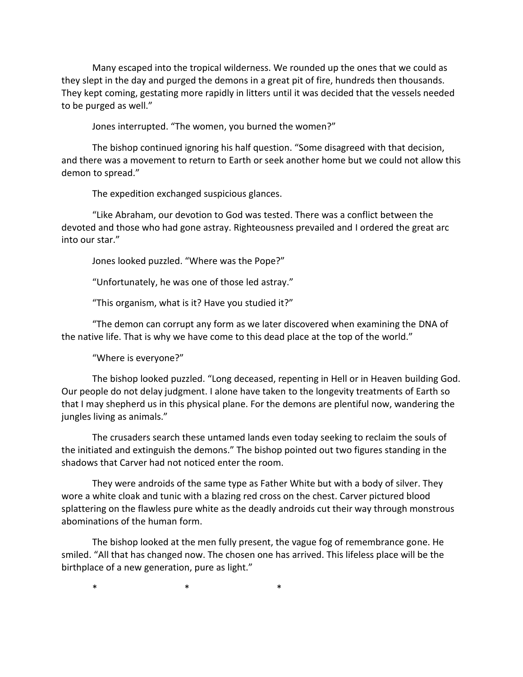Many escaped into the tropical wilderness. We rounded up the ones that we could as they slept in the day and purged the demons in a great pit of fire, hundreds then thousands. They kept coming, gestating more rapidly in litters until it was decided that the vessels needed to be purged as well."

Jones interrupted. "The women, you burned the women?"

The bishop continued ignoring his half question. "Some disagreed with that decision, and there was a movement to return to Earth or seek another home but we could not allow this demon to spread."

The expedition exchanged suspicious glances.

"Like Abraham, our devotion to God was tested. There was a conflict between the devoted and those who had gone astray. Righteousness prevailed and I ordered the great arc into our star."

Jones looked puzzled. "Where was the Pope?"

"Unfortunately, he was one of those led astray."

"This organism, what is it? Have you studied it?"

"The demon can corrupt any form as we later discovered when examining the DNA of the native life. That is why we have come to this dead place at the top of the world."

"Where is everyone?"

The bishop looked puzzled. "Long deceased, repenting in Hell or in Heaven building God. Our people do not delay judgment. I alone have taken to the longevity treatments of Earth so that I may shepherd us in this physical plane. For the demons are plentiful now, wandering the jungles living as animals."

The crusaders search these untamed lands even today seeking to reclaim the souls of the initiated and extinguish the demons." The bishop pointed out two figures standing in the shadows that Carver had not noticed enter the room.

They were androids of the same type as Father White but with a body of silver. They wore a white cloak and tunic with a blazing red cross on the chest. Carver pictured blood splattering on the flawless pure white as the deadly androids cut their way through monstrous abominations of the human form.

The bishop looked at the men fully present, the vague fog of remembrance gone. He smiled. "All that has changed now. The chosen one has arrived. This lifeless place will be the birthplace of a new generation, pure as light."

 $\ast$   $\ast$   $\ast$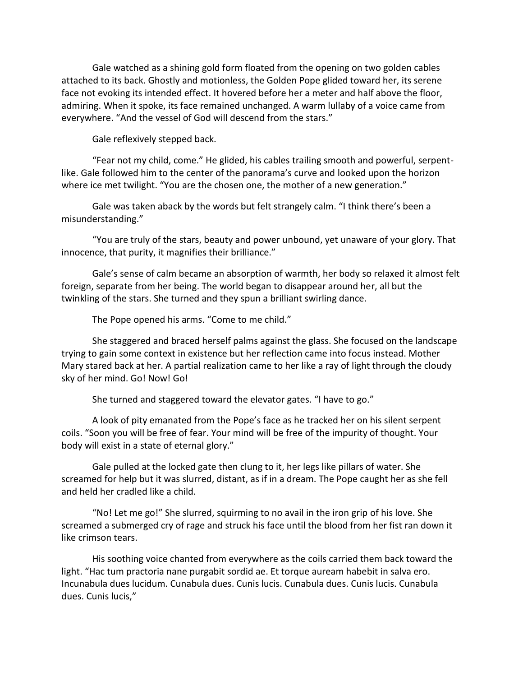Gale watched as a shining gold form floated from the opening on two golden cables attached to its back. Ghostly and motionless, the Golden Pope glided toward her, its serene face not evoking its intended effect. It hovered before her a meter and half above the floor, admiring. When it spoke, its face remained unchanged. A warm lullaby of a voice came from everywhere. "And the vessel of God will descend from the stars."

Gale reflexively stepped back.

"Fear not my child, come." He glided, his cables trailing smooth and powerful, serpentlike. Gale followed him to the center of the panorama's curve and looked upon the horizon where ice met twilight. "You are the chosen one, the mother of a new generation."

Gale was taken aback by the words but felt strangely calm. "I think there's been a misunderstanding."

"You are truly of the stars, beauty and power unbound, yet unaware of your glory. That innocence, that purity, it magnifies their brilliance."

Gale's sense of calm became an absorption of warmth, her body so relaxed it almost felt foreign, separate from her being. The world began to disappear around her, all but the twinkling of the stars. She turned and they spun a brilliant swirling dance.

The Pope opened his arms. "Come to me child."

She staggered and braced herself palms against the glass. She focused on the landscape trying to gain some context in existence but her reflection came into focus instead. Mother Mary stared back at her. A partial realization came to her like a ray of light through the cloudy sky of her mind. Go! Now! Go!

She turned and staggered toward the elevator gates. "I have to go."

A look of pity emanated from the Pope's face as he tracked her on his silent serpent coils. "Soon you will be free of fear. Your mind will be free of the impurity of thought. Your body will exist in a state of eternal glory."

Gale pulled at the locked gate then clung to it, her legs like pillars of water. She screamed for help but it was slurred, distant, as if in a dream. The Pope caught her as she fell and held her cradled like a child.

"No! Let me go!" She slurred, squirming to no avail in the iron grip of his love. She screamed a submerged cry of rage and struck his face until the blood from her fist ran down it like crimson tears.

His soothing voice chanted from everywhere as the coils carried them back toward the light. "Hac tum practoria nane purgabit sordid ae. Et torque auream habebit in salva ero. Incunabula dues lucidum. Cunabula dues. Cunis lucis. Cunabula dues. Cunis lucis. Cunabula dues. Cunis lucis,"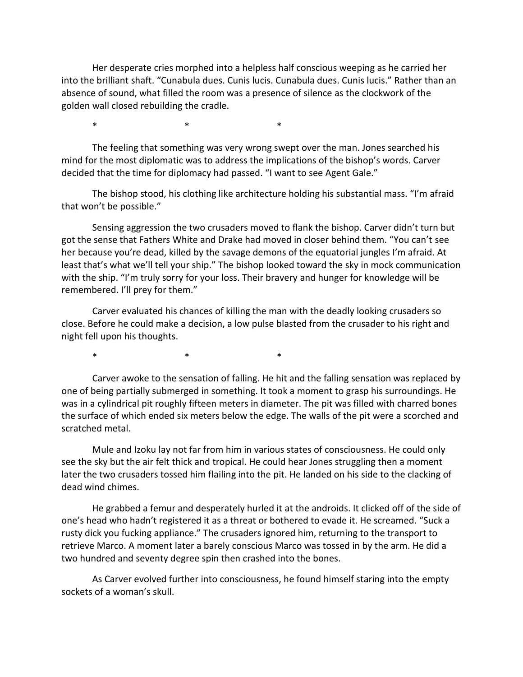Her desperate cries morphed into a helpless half conscious weeping as he carried her into the brilliant shaft. "Cunabula dues. Cunis lucis. Cunabula dues. Cunis lucis." Rather than an absence of sound, what filled the room was a presence of silence as the clockwork of the golden wall closed rebuilding the cradle.

 $\ast$   $\ast$   $\ast$ 

The feeling that something was very wrong swept over the man. Jones searched his mind for the most diplomatic was to address the implications of the bishop's words. Carver decided that the time for diplomacy had passed. "I want to see Agent Gale."

The bishop stood, his clothing like architecture holding his substantial mass. "I'm afraid that won't be possible."

Sensing aggression the two crusaders moved to flank the bishop. Carver didn't turn but got the sense that Fathers White and Drake had moved in closer behind them. "You can't see her because you're dead, killed by the savage demons of the equatorial jungles I'm afraid. At least that's what we'll tell your ship." The bishop looked toward the sky in mock communication with the ship. "I'm truly sorry for your loss. Their bravery and hunger for knowledge will be remembered. I'll prey for them."

Carver evaluated his chances of killing the man with the deadly looking crusaders so close. Before he could make a decision, a low pulse blasted from the crusader to his right and night fell upon his thoughts.

\* \* \* \* \* \* \*

Carver awoke to the sensation of falling. He hit and the falling sensation was replaced by one of being partially submerged in something. It took a moment to grasp his surroundings. He was in a cylindrical pit roughly fifteen meters in diameter. The pit was filled with charred bones the surface of which ended six meters below the edge. The walls of the pit were a scorched and scratched metal.

Mule and Izoku lay not far from him in various states of consciousness. He could only see the sky but the air felt thick and tropical. He could hear Jones struggling then a moment later the two crusaders tossed him flailing into the pit. He landed on his side to the clacking of dead wind chimes.

He grabbed a femur and desperately hurled it at the androids. It clicked off of the side of one's head who hadn't registered it as a threat or bothered to evade it. He screamed. "Suck a rusty dick you fucking appliance." The crusaders ignored him, returning to the transport to retrieve Marco. A moment later a barely conscious Marco was tossed in by the arm. He did a two hundred and seventy degree spin then crashed into the bones.

As Carver evolved further into consciousness, he found himself staring into the empty sockets of a woman's skull.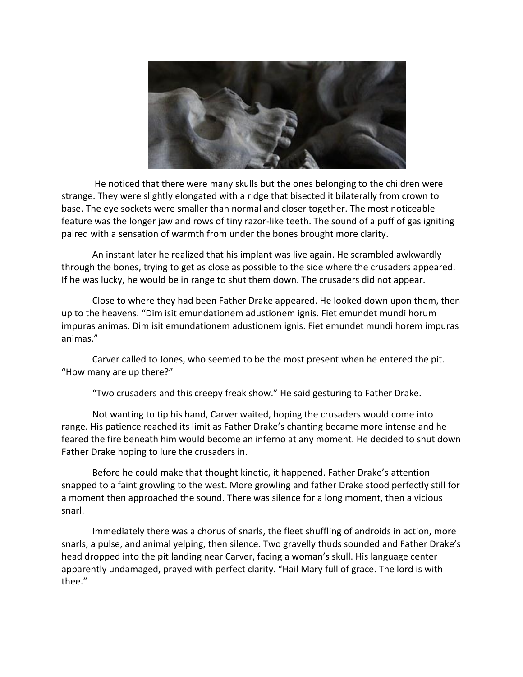

He noticed that there were many skulls but the ones belonging to the children were strange. They were slightly elongated with a ridge that bisected it bilaterally from crown to base. The eye sockets were smaller than normal and closer together. The most noticeable feature was the longer jaw and rows of tiny razor-like teeth. The sound of a puff of gas igniting paired with a sensation of warmth from under the bones brought more clarity.

An instant later he realized that his implant was live again. He scrambled awkwardly through the bones, trying to get as close as possible to the side where the crusaders appeared. If he was lucky, he would be in range to shut them down. The crusaders did not appear.

Close to where they had been Father Drake appeared. He looked down upon them, then up to the heavens. "Dim isit emundationem adustionem ignis. Fiet emundet mundi horum impuras animas. Dim isit emundationem adustionem ignis. Fiet emundet mundi horem impuras animas."

Carver called to Jones, who seemed to be the most present when he entered the pit. "How many are up there?"

"Two crusaders and this creepy freak show." He said gesturing to Father Drake.

Not wanting to tip his hand, Carver waited, hoping the crusaders would come into range. His patience reached its limit as Father Drake's chanting became more intense and he feared the fire beneath him would become an inferno at any moment. He decided to shut down Father Drake hoping to lure the crusaders in.

Before he could make that thought kinetic, it happened. Father Drake's attention snapped to a faint growling to the west. More growling and father Drake stood perfectly still for a moment then approached the sound. There was silence for a long moment, then a vicious snarl.

Immediately there was a chorus of snarls, the fleet shuffling of androids in action, more snarls, a pulse, and animal yelping, then silence. Two gravelly thuds sounded and Father Drake's head dropped into the pit landing near Carver, facing a woman's skull. His language center apparently undamaged, prayed with perfect clarity. "Hail Mary full of grace. The lord is with thee."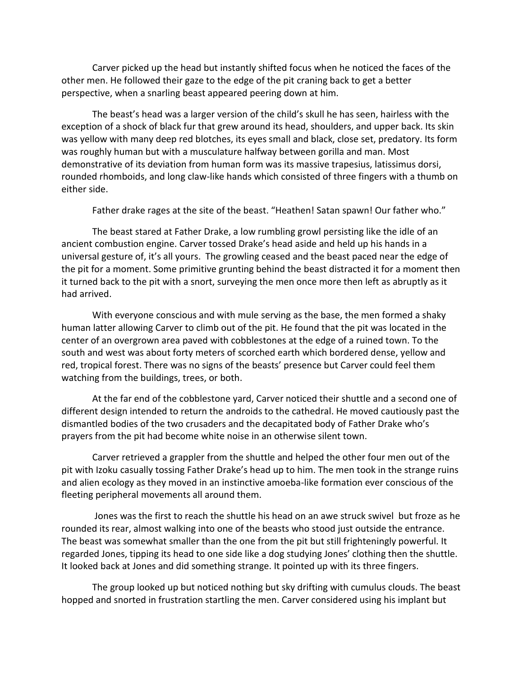Carver picked up the head but instantly shifted focus when he noticed the faces of the other men. He followed their gaze to the edge of the pit craning back to get a better perspective, when a snarling beast appeared peering down at him.

The beast's head was a larger version of the child's skull he has seen, hairless with the exception of a shock of black fur that grew around its head, shoulders, and upper back. Its skin was yellow with many deep red blotches, its eyes small and black, close set, predatory. Its form was roughly human but with a musculature halfway between gorilla and man. Most demonstrative of its deviation from human form was its massive trapesius, latissimus dorsi, rounded rhomboids, and long claw-like hands which consisted of three fingers with a thumb on either side.

Father drake rages at the site of the beast. "Heathen! Satan spawn! Our father who."

The beast stared at Father Drake, a low rumbling growl persisting like the idle of an ancient combustion engine. Carver tossed Drake's head aside and held up his hands in a universal gesture of, it's all yours. The growling ceased and the beast paced near the edge of the pit for a moment. Some primitive grunting behind the beast distracted it for a moment then it turned back to the pit with a snort, surveying the men once more then left as abruptly as it had arrived.

With everyone conscious and with mule serving as the base, the men formed a shaky human latter allowing Carver to climb out of the pit. He found that the pit was located in the center of an overgrown area paved with cobblestones at the edge of a ruined town. To the south and west was about forty meters of scorched earth which bordered dense, yellow and red, tropical forest. There was no signs of the beasts' presence but Carver could feel them watching from the buildings, trees, or both.

At the far end of the cobblestone yard, Carver noticed their shuttle and a second one of different design intended to return the androids to the cathedral. He moved cautiously past the dismantled bodies of the two crusaders and the decapitated body of Father Drake who's prayers from the pit had become white noise in an otherwise silent town.

Carver retrieved a grappler from the shuttle and helped the other four men out of the pit with Izoku casually tossing Father Drake's head up to him. The men took in the strange ruins and alien ecology as they moved in an instinctive amoeba-like formation ever conscious of the fleeting peripheral movements all around them.

Jones was the first to reach the shuttle his head on an awe struck swivel but froze as he rounded its rear, almost walking into one of the beasts who stood just outside the entrance. The beast was somewhat smaller than the one from the pit but still frighteningly powerful. It regarded Jones, tipping its head to one side like a dog studying Jones' clothing then the shuttle. It looked back at Jones and did something strange. It pointed up with its three fingers.

The group looked up but noticed nothing but sky drifting with cumulus clouds. The beast hopped and snorted in frustration startling the men. Carver considered using his implant but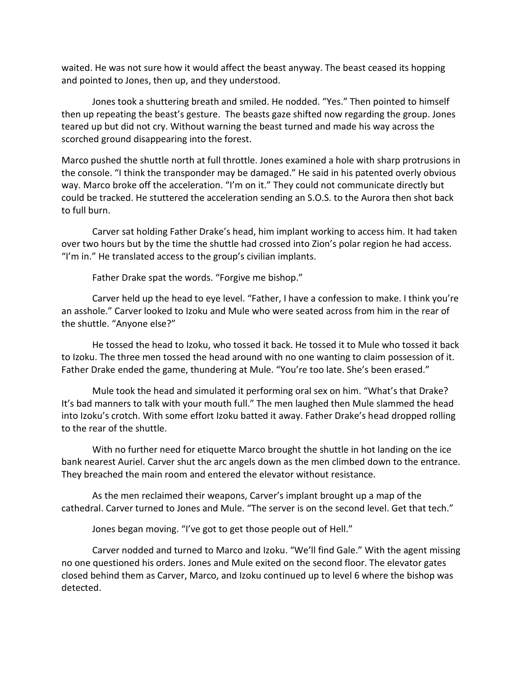waited. He was not sure how it would affect the beast anyway. The beast ceased its hopping and pointed to Jones, then up, and they understood.

Jones took a shuttering breath and smiled. He nodded. "Yes." Then pointed to himself then up repeating the beast's gesture. The beasts gaze shifted now regarding the group. Jones teared up but did not cry. Without warning the beast turned and made his way across the scorched ground disappearing into the forest.

Marco pushed the shuttle north at full throttle. Jones examined a hole with sharp protrusions in the console. "I think the transponder may be damaged." He said in his patented overly obvious way. Marco broke off the acceleration. "I'm on it." They could not communicate directly but could be tracked. He stuttered the acceleration sending an S.O.S. to the Aurora then shot back to full burn.

Carver sat holding Father Drake's head, him implant working to access him. It had taken over two hours but by the time the shuttle had crossed into Zion's polar region he had access. "I'm in." He translated access to the group's civilian implants.

Father Drake spat the words. "Forgive me bishop."

Carver held up the head to eye level. "Father, I have a confession to make. I think you're an asshole." Carver looked to Izoku and Mule who were seated across from him in the rear of the shuttle. "Anyone else?"

He tossed the head to Izoku, who tossed it back. He tossed it to Mule who tossed it back to Izoku. The three men tossed the head around with no one wanting to claim possession of it. Father Drake ended the game, thundering at Mule. "You're too late. She's been erased."

Mule took the head and simulated it performing oral sex on him. "What's that Drake? It's bad manners to talk with your mouth full." The men laughed then Mule slammed the head into Izoku's crotch. With some effort Izoku batted it away. Father Drake's head dropped rolling to the rear of the shuttle.

With no further need for etiquette Marco brought the shuttle in hot landing on the ice bank nearest Auriel. Carver shut the arc angels down as the men climbed down to the entrance. They breached the main room and entered the elevator without resistance.

As the men reclaimed their weapons, Carver's implant brought up a map of the cathedral. Carver turned to Jones and Mule. "The server is on the second level. Get that tech."

Jones began moving. "I've got to get those people out of Hell."

Carver nodded and turned to Marco and Izoku. "We'll find Gale." With the agent missing no one questioned his orders. Jones and Mule exited on the second floor. The elevator gates closed behind them as Carver, Marco, and Izoku continued up to level 6 where the bishop was detected.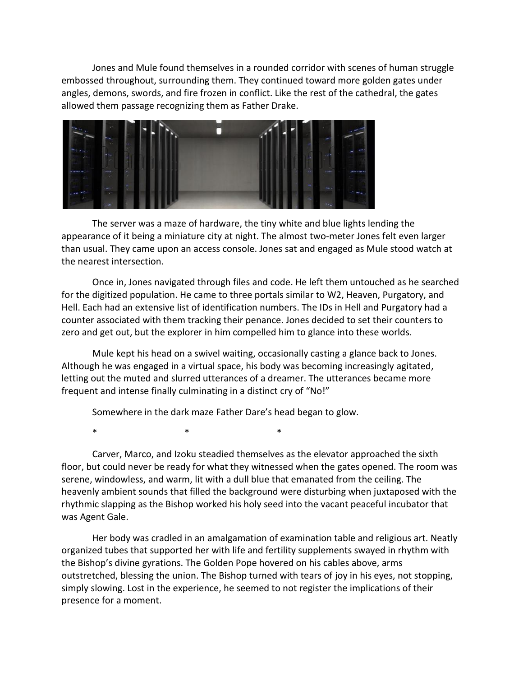Jones and Mule found themselves in a rounded corridor with scenes of human struggle embossed throughout, surrounding them. They continued toward more golden gates under angles, demons, swords, and fire frozen in conflict. Like the rest of the cathedral, the gates allowed them passage recognizing them as Father Drake.



The server was a maze of hardware, the tiny white and blue lights lending the appearance of it being a miniature city at night. The almost two-meter Jones felt even larger than usual. They came upon an access console. Jones sat and engaged as Mule stood watch at the nearest intersection.

Once in, Jones navigated through files and code. He left them untouched as he searched for the digitized population. He came to three portals similar to W2, Heaven, Purgatory, and Hell. Each had an extensive list of identification numbers. The IDs in Hell and Purgatory had a counter associated with them tracking their penance. Jones decided to set their counters to zero and get out, but the explorer in him compelled him to glance into these worlds.

Mule kept his head on a swivel waiting, occasionally casting a glance back to Jones. Although he was engaged in a virtual space, his body was becoming increasingly agitated, letting out the muted and slurred utterances of a dreamer. The utterances became more frequent and intense finally culminating in a distinct cry of "No!"

Somewhere in the dark maze Father Dare's head began to glow.

 $\ast$   $\ast$   $\ast$ 

Carver, Marco, and Izoku steadied themselves as the elevator approached the sixth floor, but could never be ready for what they witnessed when the gates opened. The room was serene, windowless, and warm, lit with a dull blue that emanated from the ceiling. The heavenly ambient sounds that filled the background were disturbing when juxtaposed with the rhythmic slapping as the Bishop worked his holy seed into the vacant peaceful incubator that was Agent Gale.

Her body was cradled in an amalgamation of examination table and religious art. Neatly organized tubes that supported her with life and fertility supplements swayed in rhythm with the Bishop's divine gyrations. The Golden Pope hovered on his cables above, arms outstretched, blessing the union. The Bishop turned with tears of joy in his eyes, not stopping, simply slowing. Lost in the experience, he seemed to not register the implications of their presence for a moment.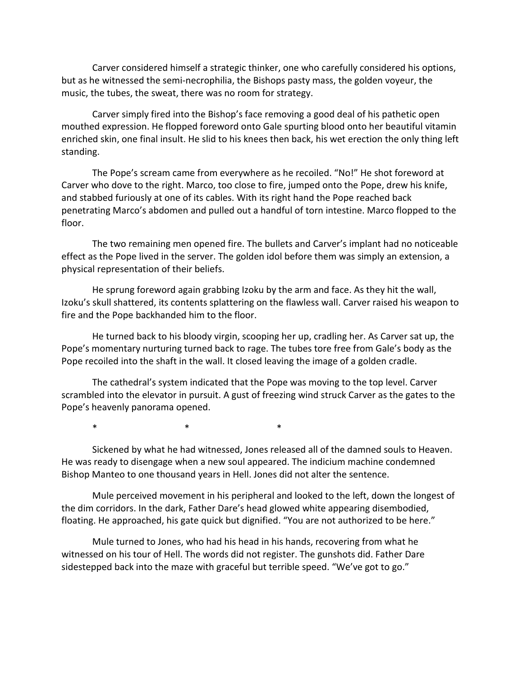Carver considered himself a strategic thinker, one who carefully considered his options, but as he witnessed the semi-necrophilia, the Bishops pasty mass, the golden voyeur, the music, the tubes, the sweat, there was no room for strategy.

Carver simply fired into the Bishop's face removing a good deal of his pathetic open mouthed expression. He flopped foreword onto Gale spurting blood onto her beautiful vitamin enriched skin, one final insult. He slid to his knees then back, his wet erection the only thing left standing.

The Pope's scream came from everywhere as he recoiled. "No!" He shot foreword at Carver who dove to the right. Marco, too close to fire, jumped onto the Pope, drew his knife, and stabbed furiously at one of its cables. With its right hand the Pope reached back penetrating Marco's abdomen and pulled out a handful of torn intestine. Marco flopped to the floor.

The two remaining men opened fire. The bullets and Carver's implant had no noticeable effect as the Pope lived in the server. The golden idol before them was simply an extension, a physical representation of their beliefs.

He sprung foreword again grabbing Izoku by the arm and face. As they hit the wall, Izoku's skull shattered, its contents splattering on the flawless wall. Carver raised his weapon to fire and the Pope backhanded him to the floor.

He turned back to his bloody virgin, scooping her up, cradling her. As Carver sat up, the Pope's momentary nurturing turned back to rage. The tubes tore free from Gale's body as the Pope recoiled into the shaft in the wall. It closed leaving the image of a golden cradle.

The cathedral's system indicated that the Pope was moving to the top level. Carver scrambled into the elevator in pursuit. A gust of freezing wind struck Carver as the gates to the Pope's heavenly panorama opened.

\* \* \* \* \* \* \*

Sickened by what he had witnessed, Jones released all of the damned souls to Heaven. He was ready to disengage when a new soul appeared. The indicium machine condemned Bishop Manteo to one thousand years in Hell. Jones did not alter the sentence.

Mule perceived movement in his peripheral and looked to the left, down the longest of the dim corridors. In the dark, Father Dare's head glowed white appearing disembodied, floating. He approached, his gate quick but dignified. "You are not authorized to be here."

Mule turned to Jones, who had his head in his hands, recovering from what he witnessed on his tour of Hell. The words did not register. The gunshots did. Father Dare sidestepped back into the maze with graceful but terrible speed. "We've got to go."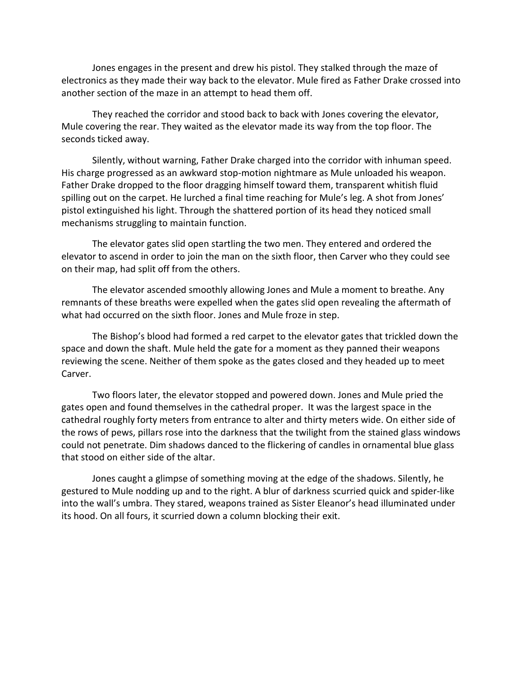Jones engages in the present and drew his pistol. They stalked through the maze of electronics as they made their way back to the elevator. Mule fired as Father Drake crossed into another section of the maze in an attempt to head them off.

They reached the corridor and stood back to back with Jones covering the elevator, Mule covering the rear. They waited as the elevator made its way from the top floor. The seconds ticked away.

Silently, without warning, Father Drake charged into the corridor with inhuman speed. His charge progressed as an awkward stop-motion nightmare as Mule unloaded his weapon. Father Drake dropped to the floor dragging himself toward them, transparent whitish fluid spilling out on the carpet. He lurched a final time reaching for Mule's leg. A shot from Jones' pistol extinguished his light. Through the shattered portion of its head they noticed small mechanisms struggling to maintain function.

The elevator gates slid open startling the two men. They entered and ordered the elevator to ascend in order to join the man on the sixth floor, then Carver who they could see on their map, had split off from the others.

The elevator ascended smoothly allowing Jones and Mule a moment to breathe. Any remnants of these breaths were expelled when the gates slid open revealing the aftermath of what had occurred on the sixth floor. Jones and Mule froze in step.

The Bishop's blood had formed a red carpet to the elevator gates that trickled down the space and down the shaft. Mule held the gate for a moment as they panned their weapons reviewing the scene. Neither of them spoke as the gates closed and they headed up to meet Carver.

Two floors later, the elevator stopped and powered down. Jones and Mule pried the gates open and found themselves in the cathedral proper. It was the largest space in the cathedral roughly forty meters from entrance to alter and thirty meters wide. On either side of the rows of pews, pillars rose into the darkness that the twilight from the stained glass windows could not penetrate. Dim shadows danced to the flickering of candles in ornamental blue glass that stood on either side of the altar.

Jones caught a glimpse of something moving at the edge of the shadows. Silently, he gestured to Mule nodding up and to the right. A blur of darkness scurried quick and spider-like into the wall's umbra. They stared, weapons trained as Sister Eleanor's head illuminated under its hood. On all fours, it scurried down a column blocking their exit.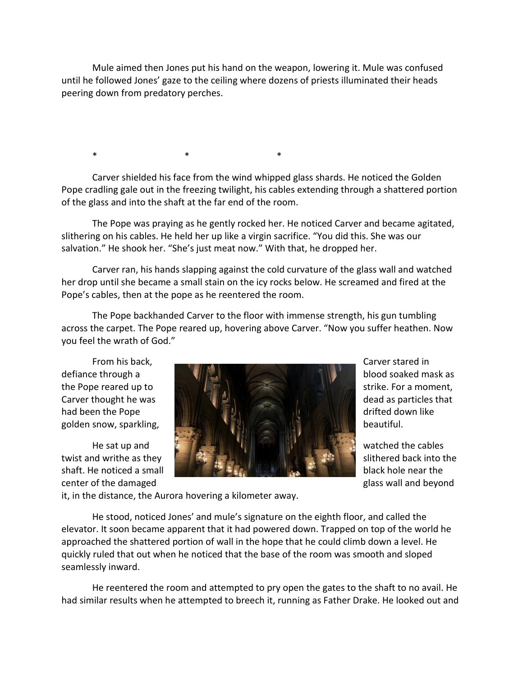Mule aimed then Jones put his hand on the weapon, lowering it. Mule was confused until he followed Jones' gaze to the ceiling where dozens of priests illuminated their heads peering down from predatory perches.

\* \* \* \* \* \* \*

Carver shielded his face from the wind whipped glass shards. He noticed the Golden Pope cradling gale out in the freezing twilight, his cables extending through a shattered portion of the glass and into the shaft at the far end of the room.

The Pope was praying as he gently rocked her. He noticed Carver and became agitated, slithering on his cables. He held her up like a virgin sacrifice. "You did this. She was our salvation." He shook her. "She's just meat now." With that, he dropped her.

Carver ran, his hands slapping against the cold curvature of the glass wall and watched her drop until she became a small stain on the icy rocks below. He screamed and fired at the Pope's cables, then at the pope as he reentered the room.

The Pope backhanded Carver to the floor with immense strength, his gun tumbling across the carpet. The Pope reared up, hovering above Carver. "Now you suffer heathen. Now you feel the wrath of God."

center of the damaged glass wall and beyond



it, in the distance, the Aurora hovering a kilometer away.

He stood, noticed Jones' and mule's signature on the eighth floor, and called the elevator. It soon became apparent that it had powered down. Trapped on top of the world he approached the shattered portion of wall in the hope that he could climb down a level. He quickly ruled that out when he noticed that the base of the room was smooth and sloped seamlessly inward.

He reentered the room and attempted to pry open the gates to the shaft to no avail. He had similar results when he attempted to breech it, running as Father Drake. He looked out and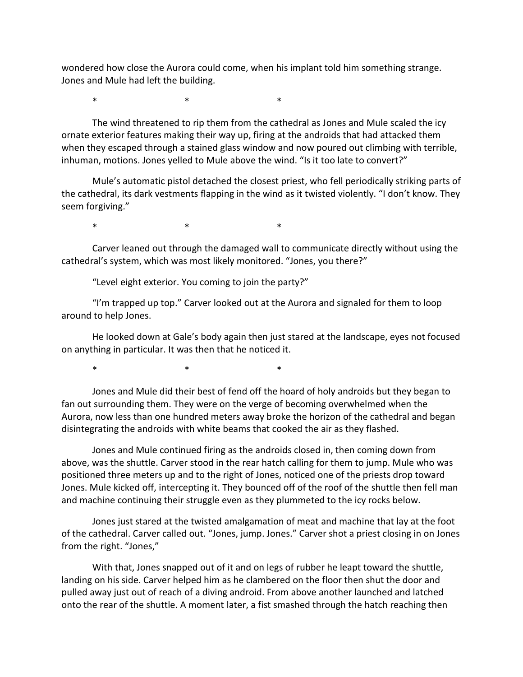wondered how close the Aurora could come, when his implant told him something strange. Jones and Mule had left the building.

 $\ast$   $\ast$   $\ast$ 

The wind threatened to rip them from the cathedral as Jones and Mule scaled the icy ornate exterior features making their way up, firing at the androids that had attacked them when they escaped through a stained glass window and now poured out climbing with terrible, inhuman, motions. Jones yelled to Mule above the wind. "Is it too late to convert?"

Mule's automatic pistol detached the closest priest, who fell periodically striking parts of the cathedral, its dark vestments flapping in the wind as it twisted violently. "I don't know. They seem forgiving."

\* \* \* \* \* \* \*

Carver leaned out through the damaged wall to communicate directly without using the cathedral's system, which was most likely monitored. "Jones, you there?"

"Level eight exterior. You coming to join the party?"

"I'm trapped up top." Carver looked out at the Aurora and signaled for them to loop around to help Jones.

He looked down at Gale's body again then just stared at the landscape, eyes not focused on anything in particular. It was then that he noticed it.

\* \* \* \* \* \* \*

Jones and Mule did their best of fend off the hoard of holy androids but they began to fan out surrounding them. They were on the verge of becoming overwhelmed when the Aurora, now less than one hundred meters away broke the horizon of the cathedral and began disintegrating the androids with white beams that cooked the air as they flashed.

Jones and Mule continued firing as the androids closed in, then coming down from above, was the shuttle. Carver stood in the rear hatch calling for them to jump. Mule who was positioned three meters up and to the right of Jones, noticed one of the priests drop toward Jones. Mule kicked off, intercepting it. They bounced off of the roof of the shuttle then fell man and machine continuing their struggle even as they plummeted to the icy rocks below.

Jones just stared at the twisted amalgamation of meat and machine that lay at the foot of the cathedral. Carver called out. "Jones, jump. Jones." Carver shot a priest closing in on Jones from the right. "Jones,"

With that, Jones snapped out of it and on legs of rubber he leapt toward the shuttle, landing on his side. Carver helped him as he clambered on the floor then shut the door and pulled away just out of reach of a diving android. From above another launched and latched onto the rear of the shuttle. A moment later, a fist smashed through the hatch reaching then